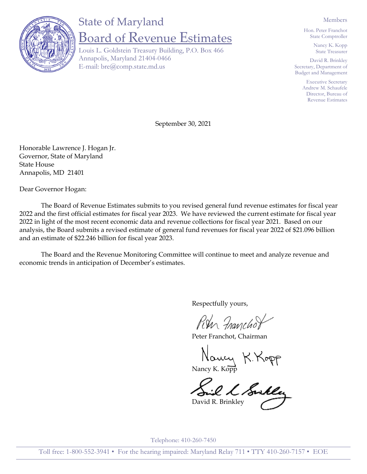

## State of Maryland Board of Revenue Estimates

Louis L. Goldstein Treasury Building, P.O. Box 466 Annapolis, Maryland 21404-0466 E-mail: bre@comp.state.md.us

Members

Hon. Peter Franchot State Comptroller

> Nancy K. Kopp State Treasurer

David R. Brinkley Secretary, Department of Budget and Management

> Executive Secretary Andrew M. Schaufele Director, Bureau of Revenue Estimates

September 30, 2021

Honorable Lawrence J. Hogan Jr. Governor, State of Maryland State House Annapolis, MD 21401

Dear Governor Hogan:

The Board of Revenue Estimates submits to you revised general fund revenue estimates for fiscal year 2022 and the first official estimates for fiscal year 2023. We have reviewed the current estimate for fiscal year 2022 in light of the most recent economic data and revenue collections for fiscal year 2021. Based on our analysis, the Board submits a revised estimate of general fund revenues for fiscal year 2022 of \$21.096 billion and an estimate of \$22.246 billion for fiscal year 2023.

The Board and the Revenue Monitoring Committee will continue to meet and analyze revenue and economic trends in anticipation of December's estimates.

Respectfully yours,

Run Franchof

Peter Franchot, Chairman

Naucy K. Kopp

David R. Brinkley

Telephone: 410-260-7450

Toll free: 1-800-552-3941 • For the hearing impaired: Maryland Relay 711 • TTY 410-260-7157 • EOE